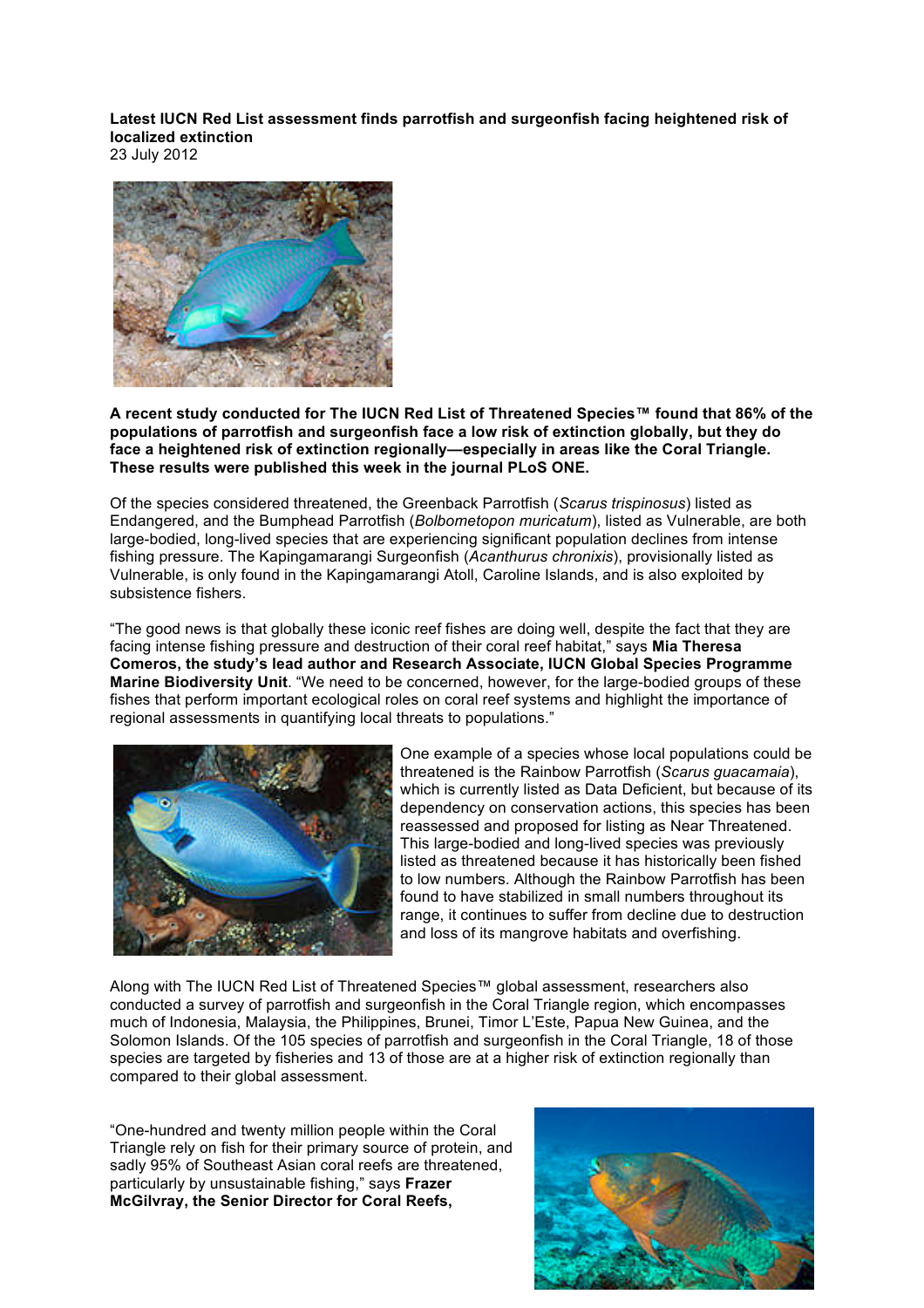**Latest IUCN Red List assessment finds parrotfish and surgeonfish facing heightened risk of localized extinction**

23 July 2012



**A recent study conducted for The IUCN Red List of Threatened Species™ found that 86% of the populations of parrotfish and surgeonfish face a low risk of extinction globally, but they do face a heightened risk of extinction regionally—especially in areas like the Coral Triangle. These results were published this week in the journal PLoS ONE.**

Of the species considered threatened, the Greenback Parrotfish (*Scarus trispinosus*) listed as Endangered, and the Bumphead Parrotfish (*Bolbometopon muricatum*), listed as Vulnerable, are both large-bodied, long-lived species that are experiencing significant population declines from intense fishing pressure. The Kapingamarangi Surgeonfish (*Acanthurus chronixis*), provisionally listed as Vulnerable, is only found in the Kapingamarangi Atoll, Caroline Islands, and is also exploited by subsistence fishers.

"The good news is that globally these iconic reef fishes are doing well, despite the fact that they are facing intense fishing pressure and destruction of their coral reef habitat," says **Mia Theresa Comeros, the study's lead author and Research Associate, IUCN Global Species Programme Marine Biodiversity Unit**. "We need to be concerned, however, for the large-bodied groups of these fishes that perform important ecological roles on coral reef systems and highlight the importance of regional assessments in quantifying local threats to populations."



One example of a species whose local populations could be threatened is the Rainbow Parrotfish (*Scarus guacamaia*), which is currently listed as Data Deficient, but because of its dependency on conservation actions, this species has been reassessed and proposed for listing as Near Threatened. This large-bodied and long-lived species was previously listed as threatened because it has historically been fished to low numbers. Although the Rainbow Parrotfish has been found to have stabilized in small numbers throughout its range, it continues to suffer from decline due to destruction and loss of its mangrove habitats and overfishing.

Along with The IUCN Red List of Threatened Species™ global assessment, researchers also conducted a survey of parrotfish and surgeonfish in the Coral Triangle region, which encompasses much of Indonesia, Malaysia, the Philippines, Brunei, Timor L'Este, Papua New Guinea, and the Solomon Islands. Of the 105 species of parrotfish and surgeonfish in the Coral Triangle, 18 of those species are targeted by fisheries and 13 of those are at a higher risk of extinction regionally than compared to their global assessment.

"One-hundred and twenty million people within the Coral Triangle rely on fish for their primary source of protein, and sadly 95% of Southeast Asian coral reefs are threatened, particularly by unsustainable fishing," says **Frazer McGilvray, the Senior Director for Coral Reefs,**